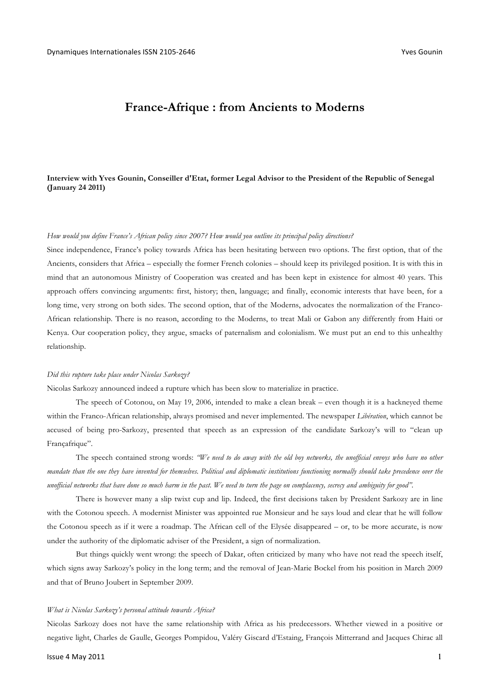# **France-Afrique : from Ancients to Moderns**

## **Interview with Yves Gounin, Conseiller d'Etat, former Legal Advisor to the President of the Republic of Senegal (January 24 2011)**

### *How would you define France's African policy since 2007? How would you outline its principal policy directions?*

Since independence, France's policy towards Africa has been hesitating between two options. The first option, that of the Ancients, considers that Africa – especially the former French colonies – should keep its privileged position. It is with this in mind that an autonomous Ministry of Cooperation was created and has been kept in existence for almost 40 years. This approach offers convincing arguments: first, history; then, language; and finally, economic interests that have been, for a long time, very strong on both sides. The second option, that of the Moderns, advocates the normalization of the Franco-African relationship. There is no reason, according to the Moderns, to treat Mali or Gabon any differently from Haiti or Kenya. Our cooperation policy, they argue, smacks of paternalism and colonialism. We must put an end to this unhealthy relationship.

### *Did this rupture take place under Nicolas Sarkozy?*

Nicolas Sarkozy announced indeed a rupture which has been slow to materialize in practice.

The speech of Cotonou, on May 19, 2006, intended to make a clean break – even though it is a hackneyed theme within the Franco-African relationship, always promised and never implemented. The newspaper *Libération*, which cannot be accused of being pro-Sarkozy, presented that speech as an expression of the candidate Sarkozy's will to "clean up Françafrique".

The speech contained strong words: *"We need to do away with the old boy networks, the unofficial envoys who have no other mandate than the one they have invented for themselves. Political and diplomatic institutions functioning normally should take precedence over the unofficial networks that have done so much harm in the past. We need to turn the page on complacency, secrecy and ambiguity for good".*

There is however many a slip twixt cup and lip. Indeed, the first decisions taken by President Sarkozy are in line with the Cotonou speech. A modernist Minister was appointed rue Monsieur and he says loud and clear that he will follow the Cotonou speech as if it were a roadmap. The African cell of the Elysée disappeared – or, to be more accurate, is now under the authority of the diplomatic adviser of the President, a sign of normalization.

But things quickly went wrong: the speech of Dakar, often criticized by many who have not read the speech itself, which signs away Sarkozy's policy in the long term; and the removal of Jean-Marie Bockel from his position in March 2009 and that of Bruno Joubert in September 2009.

### *What is Nicolas Sarkozy's personal attitude towards Africa?*

Nicolas Sarkozy does not have the same relationship with Africa as his predecessors. Whether viewed in a positive or negative light, Charles de Gaulle, Georges Pompidou, Valéry Giscard d'Estaing, François Mitterrand and Jacques Chirac all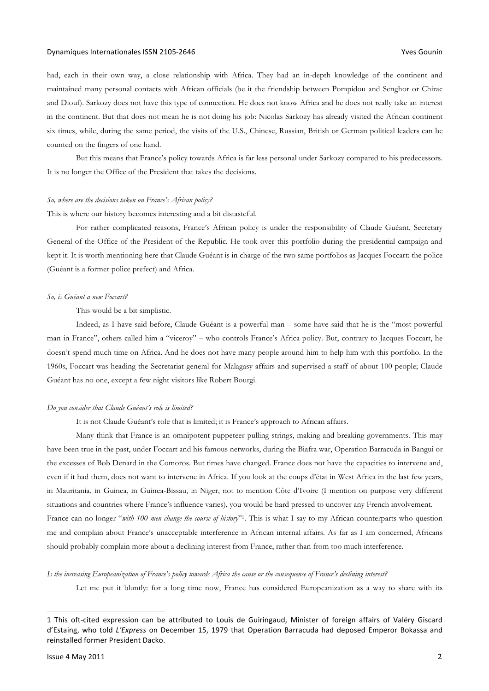### Dynamiques Internationales ISSN 2105-2646 Companies and the companies of the companies of the companies of the companies of the companies of the companies of the companies of the companies of the companies of the companies

had, each in their own way, a close relationship with Africa. They had an in-depth knowledge of the continent and maintained many personal contacts with African officials (be it the friendship between Pompidou and Senghor or Chirac and Diouf). Sarkozy does not have this type of connection. He does not know Africa and he does not really take an interest in the continent. But that does not mean he is not doing his job: Nicolas Sarkozy has already visited the African continent six times, while, during the same period, the visits of the U.S., Chinese, Russian, British or German political leaders can be counted on the fingers of one hand.

But this means that France's policy towards Africa is far less personal under Sarkozy compared to his predecessors. It is no longer the Office of the President that takes the decisions.

#### *So, where are the decisions taken on France's African policy?*

This is where our history becomes interesting and a bit distasteful.

For rather complicated reasons, France's African policy is under the responsibility of Claude Guéant, Secretary General of the Office of the President of the Republic. He took over this portfolio during the presidential campaign and kept it. It is worth mentioning here that Claude Guéant is in charge of the two same portfolios as Jacques Foccart: the police (Guéant is a former police prefect) and Africa.

#### *So, is Guéant a new Foccart?*

This would be a bit simplistic.

Indeed, as I have said before, Claude Guéant is a powerful man – some have said that he is the "most powerful man in France", others called him a "viceroy" – who controls France's Africa policy. But, contrary to Jacques Foccart, he doesn't spend much time on Africa. And he does not have many people around him to help him with this portfolio. In the 1960s, Foccart was heading the Secretariat general for Malagasy affairs and supervised a staff of about 100 people; Claude Guéant has no one, except a few night visitors like Robert Bourgi.

### *Do you consider that Claude Guéant's role is limited?*

It is not Claude Guéant's role that is limited; it is France's approach to African affairs.

Many think that France is an omnipotent puppeteer pulling strings, making and breaking governments. This may have been true in the past, under Foccart and his famous networks, during the Biafra war, Operation Barracuda in Bangui or the excesses of Bob Denard in the Comoros. But times have changed. France does not have the capacities to intervene and, even if it had them, does not want to intervene in Africa. If you look at the coups d'état in West Africa in the last few years, in Mauritania, in Guinea, in Guinea-Bissau, in Niger, not to mention Côte d'Ivoire (I mention on purpose very different situations and countries where France's influence varies), you would be hard pressed to uncover any French involvement. France can no longer "*with 100 men change the course of history*"1. This is what I say to my African counterparts who question

me and complain about France's unacceptable interference in African internal affairs. As far as I am concerned, Africans should probably complain more about a declining interest from France, rather than from too much interference.

*Is the increasing Europeanization of France's policy towards Africa the cause or the consequence of France's declining interest?*

Let me put it bluntly: for a long time now, France has considered Europeanization as a way to share with its

 $\overline{a}$ 

<sup>1</sup> This oft-cited expression can be attributed to Louis de Guiringaud, Minister of foreign affairs of Valéry Giscard d'Estaing, who told *L'Express* on December 15, 1979 that Operation Barracuda had deposed Emperor Bokassa and reinstalled former President Dacko.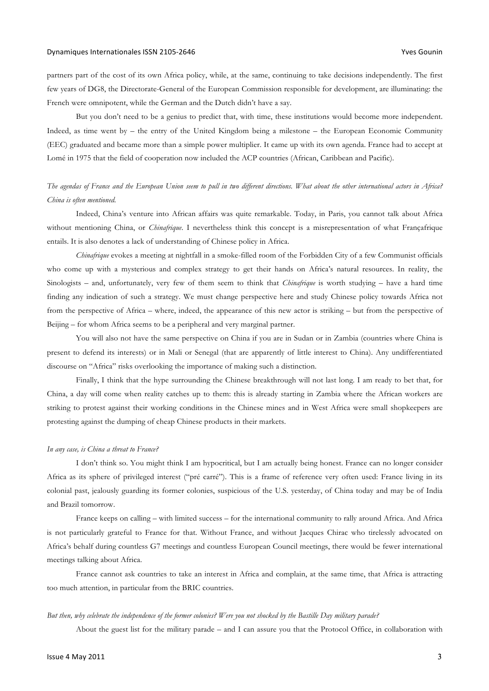partners part of the cost of its own Africa policy, while, at the same, continuing to take decisions independently. The first few years of DG8, the Directorate-General of the European Commission responsible for development, are illuminating: the French were omnipotent, while the German and the Dutch didn't have a say.

But you don't need to be a genius to predict that, with time, these institutions would become more independent. Indeed, as time went by – the entry of the United Kingdom being a milestone – the European Economic Community (EEC) graduated and became more than a simple power multiplier. It came up with its own agenda. France had to accept at Lomé in 1975 that the field of cooperation now included the ACP countries (African, Caribbean and Pacific).

# *The agendas of France and the European Union seem to pull in two different directions. What about the other international actors in Africa? China is often mentioned.*

Indeed, China's venture into African affairs was quite remarkable. Today, in Paris, you cannot talk about Africa without mentioning China, or *Chinafrique*. I nevertheless think this concept is a misrepresentation of what Françafrique entails. It is also denotes a lack of understanding of Chinese policy in Africa.

*Chinafrique* evokes a meeting at nightfall in a smoke-filled room of the Forbidden City of a few Communist officials who come up with a mysterious and complex strategy to get their hands on Africa's natural resources. In reality, the Sinologists – and, unfortunately, very few of them seem to think that *Chinafrique* is worth studying – have a hard time finding any indication of such a strategy. We must change perspective here and study Chinese policy towards Africa not from the perspective of Africa – where, indeed, the appearance of this new actor is striking – but from the perspective of Beijing – for whom Africa seems to be a peripheral and very marginal partner.

You will also not have the same perspective on China if you are in Sudan or in Zambia (countries where China is present to defend its interests) or in Mali or Senegal (that are apparently of little interest to China). Any undifferentiated discourse on "Africa" risks overlooking the importance of making such a distinction.

Finally, I think that the hype surrounding the Chinese breakthrough will not last long. I am ready to bet that, for China, a day will come when reality catches up to them: this is already starting in Zambia where the African workers are striking to protest against their working conditions in the Chinese mines and in West Africa were small shopkeepers are protesting against the dumping of cheap Chinese products in their markets.

### *In any case, is China a threat to France?*

I don't think so. You might think I am hypocritical, but I am actually being honest. France can no longer consider Africa as its sphere of privileged interest ("pré carré"). This is a frame of reference very often used: France living in its colonial past, jealously guarding its former colonies, suspicious of the U.S. yesterday, of China today and may be of India and Brazil tomorrow.

France keeps on calling – with limited success – for the international community to rally around Africa. And Africa is not particularly grateful to France for that. Without France, and without Jacques Chirac who tirelessly advocated on Africa's behalf during countless G7 meetings and countless European Council meetings, there would be fewer international meetings talking about Africa.

France cannot ask countries to take an interest in Africa and complain, at the same time, that Africa is attracting too much attention, in particular from the BRIC countries.

### *But then, why celebrate the independence of the former colonies? Were you not shocked by the Bastille Day military parade?*

About the guest list for the military parade – and I can assure you that the Protocol Office, in collaboration with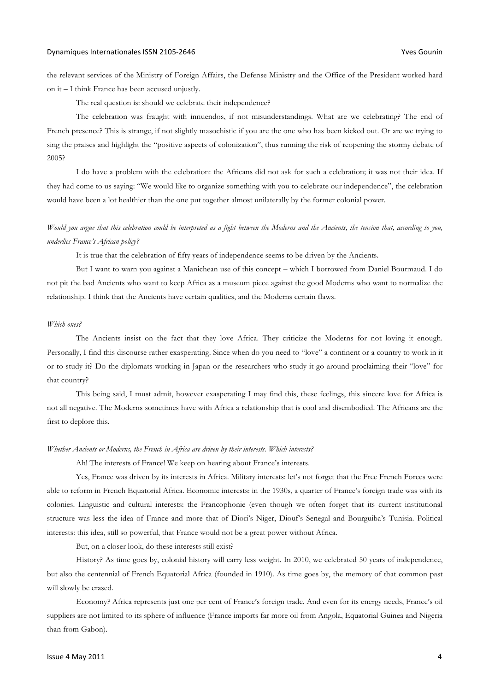the relevant services of the Ministry of Foreign Affairs, the Defense Ministry and the Office of the President worked hard on it – I think France has been accused unjustly.

The real question is: should we celebrate their independence?

The celebration was fraught with innuendos, if not misunderstandings. What are we celebrating? The end of French presence? This is strange, if not slightly masochistic if you are the one who has been kicked out. Or are we trying to sing the praises and highlight the "positive aspects of colonization", thus running the risk of reopening the stormy debate of 2005?

I do have a problem with the celebration: the Africans did not ask for such a celebration; it was not their idea. If they had come to us saying: "We would like to organize something with you to celebrate our independence", the celebration would have been a lot healthier than the one put together almost unilaterally by the former colonial power.

# *Would you argue that this celebration could be interpreted as a fight between the Moderns and the Ancients, the tension that, according to you, underlies France's African policy?*

It is true that the celebration of fifty years of independence seems to be driven by the Ancients.

But I want to warn you against a Manichean use of this concept – which I borrowed from Daniel Bourmaud. I do not pit the bad Ancients who want to keep Africa as a museum piece against the good Moderns who want to normalize the relationship. I think that the Ancients have certain qualities, and the Moderns certain flaws.

#### *Which ones?*

The Ancients insist on the fact that they love Africa. They criticize the Moderns for not loving it enough. Personally, I find this discourse rather exasperating. Since when do you need to "love" a continent or a country to work in it or to study it? Do the diplomats working in Japan or the researchers who study it go around proclaiming their "love" for that country?

This being said, I must admit, however exasperating I may find this, these feelings, this sincere love for Africa is not all negative. The Moderns sometimes have with Africa a relationship that is cool and disembodied. The Africans are the first to deplore this.

### *Whether Ancients or Moderns, the French in Africa are driven by their interests. Which interests?*

Ah! The interests of France! We keep on hearing about France's interests.

Yes, France was driven by its interests in Africa. Military interests: let's not forget that the Free French Forces were able to reform in French Equatorial Africa. Economic interests: in the 1930s, a quarter of France's foreign trade was with its colonies. Linguistic and cultural interests: the Francophonie (even though we often forget that its current institutional structure was less the idea of France and more that of Diori's Niger, Diouf's Senegal and Bourguiba's Tunisia. Political interests: this idea, still so powerful, that France would not be a great power without Africa.

But, on a closer look, do these interests still exist?

History? As time goes by, colonial history will carry less weight. In 2010, we celebrated 50 years of independence, but also the centennial of French Equatorial Africa (founded in 1910). As time goes by, the memory of that common past will slowly be erased.

Economy? Africa represents just one per cent of France's foreign trade. And even for its energy needs, France's oil suppliers are not limited to its sphere of influence (France imports far more oil from Angola, Equatorial Guinea and Nigeria than from Gabon).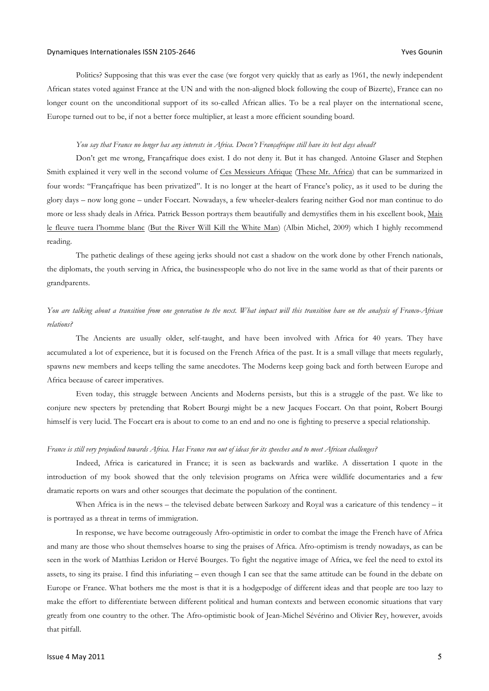### Dynamiques Internationales ISSN 2105-2646 Companies and the companies of the companies of the companies of the companies of the companies of the companies of the companies of the companies of the companies of the companies

Politics? Supposing that this was ever the case (we forgot very quickly that as early as 1961, the newly independent African states voted against France at the UN and with the non-aligned block following the coup of Bizerte), France can no longer count on the unconditional support of its so-called African allies. To be a real player on the international scene, Europe turned out to be, if not a better force multiplier, at least a more efficient sounding board.

### *You say that France no longer has any interests in Africa. Doesn't Françafrique still have its best days ahead?*

Don't get me wrong, Françafrique does exist. I do not deny it. But it has changed. Antoine Glaser and Stephen Smith explained it very well in the second volume of Ces Messieurs Afrique (These Mr. Africa) that can be summarized in four words: "Françafrique has been privatized". It is no longer at the heart of France's policy, as it used to be during the glory days – now long gone – under Foccart. Nowadays, a few wheeler-dealers fearing neither God nor man continue to do more or less shady deals in Africa. Patrick Besson portrays them beautifully and demystifies them in his excellent book, Mais le fleuve tuera l'homme blanc (But the River Will Kill the White Man) (Albin Michel, 2009) which I highly recommend reading.

The pathetic dealings of these ageing jerks should not cast a shadow on the work done by other French nationals, the diplomats, the youth serving in Africa, the businesspeople who do not live in the same world as that of their parents or grandparents.

## *You are talking about a transition from one generation to the next. What impact will this transition have on the analysis of Franco-African relations?*

The Ancients are usually older, self-taught, and have been involved with Africa for 40 years. They have accumulated a lot of experience, but it is focused on the French Africa of the past. It is a small village that meets regularly, spawns new members and keeps telling the same anecdotes. The Moderns keep going back and forth between Europe and Africa because of career imperatives.

Even today, this struggle between Ancients and Moderns persists, but this is a struggle of the past. We like to conjure new specters by pretending that Robert Bourgi might be a new Jacques Foccart. On that point, Robert Bourgi himself is very lucid. The Foccart era is about to come to an end and no one is fighting to preserve a special relationship.

### *France is still very prejudiced towards Africa. Has France run out of ideas for its speeches and to meet African challenges?*

Indeed, Africa is caricatured in France; it is seen as backwards and warlike. A dissertation I quote in the introduction of my book showed that the only television programs on Africa were wildlife documentaries and a few dramatic reports on wars and other scourges that decimate the population of the continent.

When Africa is in the news – the televised debate between Sarkozy and Royal was a caricature of this tendency – it is portrayed as a threat in terms of immigration.

In response, we have become outrageously Afro-optimistic in order to combat the image the French have of Africa and many are those who shout themselves hoarse to sing the praises of Africa. Afro-optimism is trendy nowadays, as can be seen in the work of Matthias Leridon or Hervé Bourges. To fight the negative image of Africa, we feel the need to extol its assets, to sing its praise. I find this infuriating – even though I can see that the same attitude can be found in the debate on Europe or France. What bothers me the most is that it is a hodgepodge of different ideas and that people are too lazy to make the effort to differentiate between different political and human contexts and between economic situations that vary greatly from one country to the other. The Afro-optimistic book of Jean-Michel Sévérino and Olivier Rey, however, avoids that pitfall.